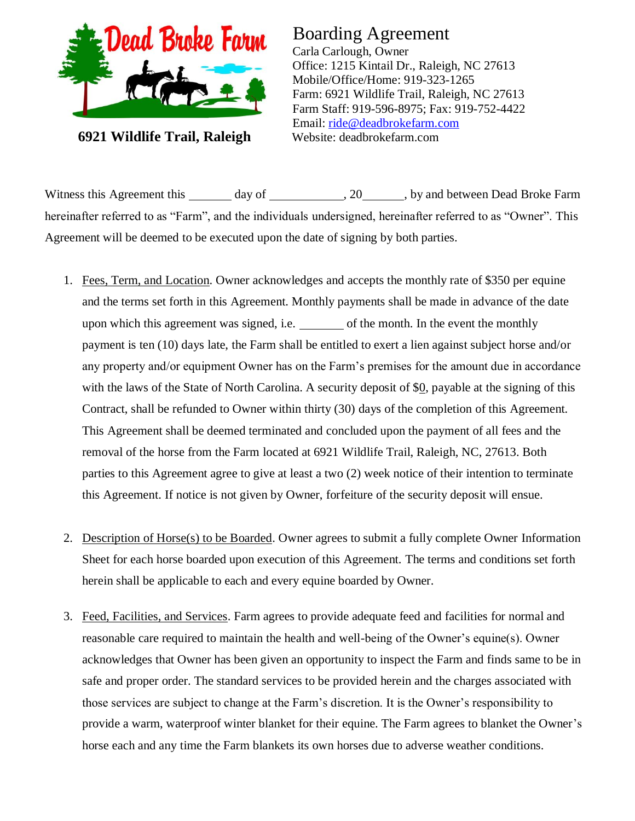

**6921 Wildlife Trail, Raleigh**

## Boarding Agreement

Carla Carlough, Owner Office: 1215 Kintail Dr., Raleigh, NC 27613 Mobile/Office/Home: 919-323-1265 Farm: 6921 Wildlife Trail, Raleigh, NC 27613 Farm Staff: 919-596-8975; Fax: 919-752-4422 Email: [ride@deadbrokefarm.com](mailto:ride@deadbrokefarm.com) Website: deadbrokefarm.com

Witness this Agreement this day of . 20 , by and between Dead Broke Farm hereinafter referred to as "Farm", and the individuals undersigned, hereinafter referred to as "Owner". This Agreement will be deemed to be executed upon the date of signing by both parties.

- 1. Fees, Term, and Location. Owner acknowledges and accepts the monthly rate of \$350 per equine and the terms set forth in this Agreement. Monthly payments shall be made in advance of the date upon which this agreement was signed, i.e. \_\_\_\_\_\_\_\_ of the month. In the event the monthly payment is ten (10) days late, the Farm shall be entitled to exert a lien against subject horse and/or any property and/or equipment Owner has on the Farm's premises for the amount due in accordance with the laws of the State of North Carolina. A security deposit of  $\S_0$ , payable at the signing of this Contract, shall be refunded to Owner within thirty (30) days of the completion of this Agreement. This Agreement shall be deemed terminated and concluded upon the payment of all fees and the removal of the horse from the Farm located at 6921 Wildlife Trail, Raleigh, NC, 27613. Both parties to this Agreement agree to give at least a two (2) week notice of their intention to terminate this Agreement. If notice is not given by Owner, forfeiture of the security deposit will ensue.
- 2. Description of Horse(s) to be Boarded. Owner agrees to submit a fully complete Owner Information Sheet for each horse boarded upon execution of this Agreement. The terms and conditions set forth herein shall be applicable to each and every equine boarded by Owner.
- 3. Feed, Facilities, and Services. Farm agrees to provide adequate feed and facilities for normal and reasonable care required to maintain the health and well-being of the Owner's equine(s). Owner acknowledges that Owner has been given an opportunity to inspect the Farm and finds same to be in safe and proper order. The standard services to be provided herein and the charges associated with those services are subject to change at the Farm's discretion. It is the Owner's responsibility to provide a warm, waterproof winter blanket for their equine. The Farm agrees to blanket the Owner's horse each and any time the Farm blankets its own horses due to adverse weather conditions.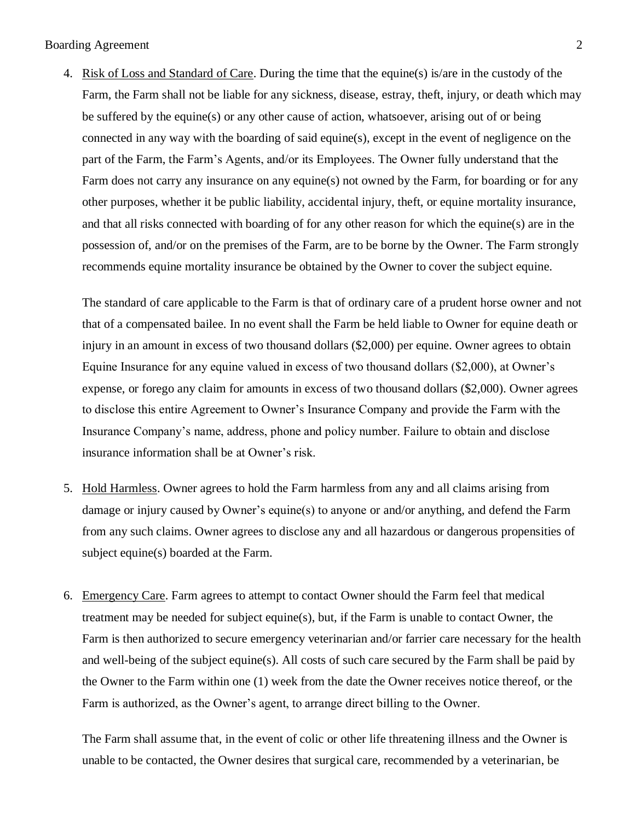Boarding Agreement 2

4. Risk of Loss and Standard of Care. During the time that the equine(s) is/are in the custody of the Farm, the Farm shall not be liable for any sickness, disease, estray, theft, injury, or death which may be suffered by the equine(s) or any other cause of action, whatsoever, arising out of or being connected in any way with the boarding of said equine(s), except in the event of negligence on the part of the Farm, the Farm's Agents, and/or its Employees. The Owner fully understand that the Farm does not carry any insurance on any equine(s) not owned by the Farm, for boarding or for any other purposes, whether it be public liability, accidental injury, theft, or equine mortality insurance, and that all risks connected with boarding of for any other reason for which the equine(s) are in the possession of, and/or on the premises of the Farm, are to be borne by the Owner. The Farm strongly recommends equine mortality insurance be obtained by the Owner to cover the subject equine.

The standard of care applicable to the Farm is that of ordinary care of a prudent horse owner and not that of a compensated bailee. In no event shall the Farm be held liable to Owner for equine death or injury in an amount in excess of two thousand dollars (\$2,000) per equine. Owner agrees to obtain Equine Insurance for any equine valued in excess of two thousand dollars (\$2,000), at Owner's expense, or forego any claim for amounts in excess of two thousand dollars (\$2,000). Owner agrees to disclose this entire Agreement to Owner's Insurance Company and provide the Farm with the Insurance Company's name, address, phone and policy number. Failure to obtain and disclose insurance information shall be at Owner's risk.

- 5. Hold Harmless. Owner agrees to hold the Farm harmless from any and all claims arising from damage or injury caused by Owner's equine(s) to anyone or and/or anything, and defend the Farm from any such claims. Owner agrees to disclose any and all hazardous or dangerous propensities of subject equine(s) boarded at the Farm.
- 6. Emergency Care. Farm agrees to attempt to contact Owner should the Farm feel that medical treatment may be needed for subject equine(s), but, if the Farm is unable to contact Owner, the Farm is then authorized to secure emergency veterinarian and/or farrier care necessary for the health and well-being of the subject equine(s). All costs of such care secured by the Farm shall be paid by the Owner to the Farm within one (1) week from the date the Owner receives notice thereof, or the Farm is authorized, as the Owner's agent, to arrange direct billing to the Owner.

The Farm shall assume that, in the event of colic or other life threatening illness and the Owner is unable to be contacted, the Owner desires that surgical care, recommended by a veterinarian, be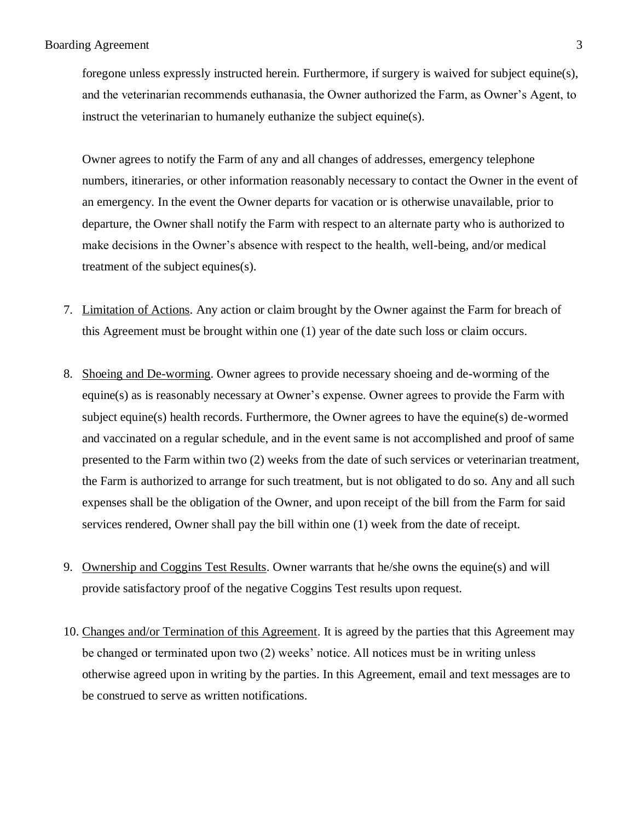foregone unless expressly instructed herein. Furthermore, if surgery is waived for subject equine(s), and the veterinarian recommends euthanasia, the Owner authorized the Farm, as Owner's Agent, to instruct the veterinarian to humanely euthanize the subject equine(s).

Owner agrees to notify the Farm of any and all changes of addresses, emergency telephone numbers, itineraries, or other information reasonably necessary to contact the Owner in the event of an emergency. In the event the Owner departs for vacation or is otherwise unavailable, prior to departure, the Owner shall notify the Farm with respect to an alternate party who is authorized to make decisions in the Owner's absence with respect to the health, well-being, and/or medical treatment of the subject equines(s).

- 7. Limitation of Actions. Any action or claim brought by the Owner against the Farm for breach of this Agreement must be brought within one (1) year of the date such loss or claim occurs.
- 8. Shoeing and De-worming. Owner agrees to provide necessary shoeing and de-worming of the equine(s) as is reasonably necessary at Owner's expense. Owner agrees to provide the Farm with subject equine(s) health records. Furthermore, the Owner agrees to have the equine(s) de-wormed and vaccinated on a regular schedule, and in the event same is not accomplished and proof of same presented to the Farm within two (2) weeks from the date of such services or veterinarian treatment, the Farm is authorized to arrange for such treatment, but is not obligated to do so. Any and all such expenses shall be the obligation of the Owner, and upon receipt of the bill from the Farm for said services rendered, Owner shall pay the bill within one (1) week from the date of receipt.
- 9. Ownership and Coggins Test Results. Owner warrants that he/she owns the equine(s) and will provide satisfactory proof of the negative Coggins Test results upon request.
- 10. Changes and/or Termination of this Agreement. It is agreed by the parties that this Agreement may be changed or terminated upon two (2) weeks' notice. All notices must be in writing unless otherwise agreed upon in writing by the parties. In this Agreement, email and text messages are to be construed to serve as written notifications.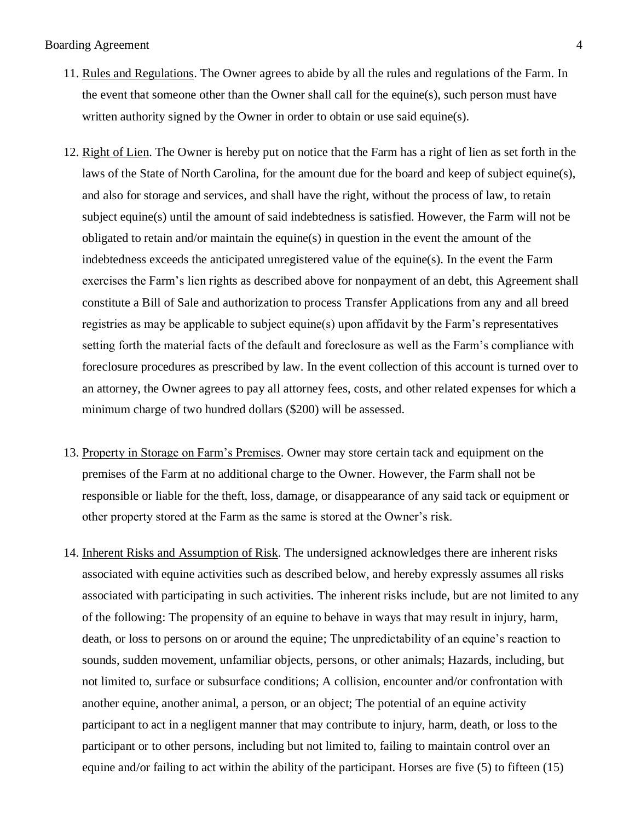## Boarding Agreement 4

- 11. Rules and Regulations. The Owner agrees to abide by all the rules and regulations of the Farm. In the event that someone other than the Owner shall call for the equine(s), such person must have written authority signed by the Owner in order to obtain or use said equine(s).
- 12. Right of Lien. The Owner is hereby put on notice that the Farm has a right of lien as set forth in the laws of the State of North Carolina, for the amount due for the board and keep of subject equine(s), and also for storage and services, and shall have the right, without the process of law, to retain subject equine(s) until the amount of said indebtedness is satisfied. However, the Farm will not be obligated to retain and/or maintain the equine(s) in question in the event the amount of the indebtedness exceeds the anticipated unregistered value of the equine(s). In the event the Farm exercises the Farm's lien rights as described above for nonpayment of an debt, this Agreement shall constitute a Bill of Sale and authorization to process Transfer Applications from any and all breed registries as may be applicable to subject equine(s) upon affidavit by the Farm's representatives setting forth the material facts of the default and foreclosure as well as the Farm's compliance with foreclosure procedures as prescribed by law. In the event collection of this account is turned over to an attorney, the Owner agrees to pay all attorney fees, costs, and other related expenses for which a minimum charge of two hundred dollars (\$200) will be assessed.
- 13. Property in Storage on Farm's Premises. Owner may store certain tack and equipment on the premises of the Farm at no additional charge to the Owner. However, the Farm shall not be responsible or liable for the theft, loss, damage, or disappearance of any said tack or equipment or other property stored at the Farm as the same is stored at the Owner's risk.
- 14. Inherent Risks and Assumption of Risk. The undersigned acknowledges there are inherent risks associated with equine activities such as described below, and hereby expressly assumes all risks associated with participating in such activities. The inherent risks include, but are not limited to any of the following: The propensity of an equine to behave in ways that may result in injury, harm, death, or loss to persons on or around the equine; The unpredictability of an equine's reaction to sounds, sudden movement, unfamiliar objects, persons, or other animals; Hazards, including, but not limited to, surface or subsurface conditions; A collision, encounter and/or confrontation with another equine, another animal, a person, or an object; The potential of an equine activity participant to act in a negligent manner that may contribute to injury, harm, death, or loss to the participant or to other persons, including but not limited to, failing to maintain control over an equine and/or failing to act within the ability of the participant. Horses are five (5) to fifteen (15)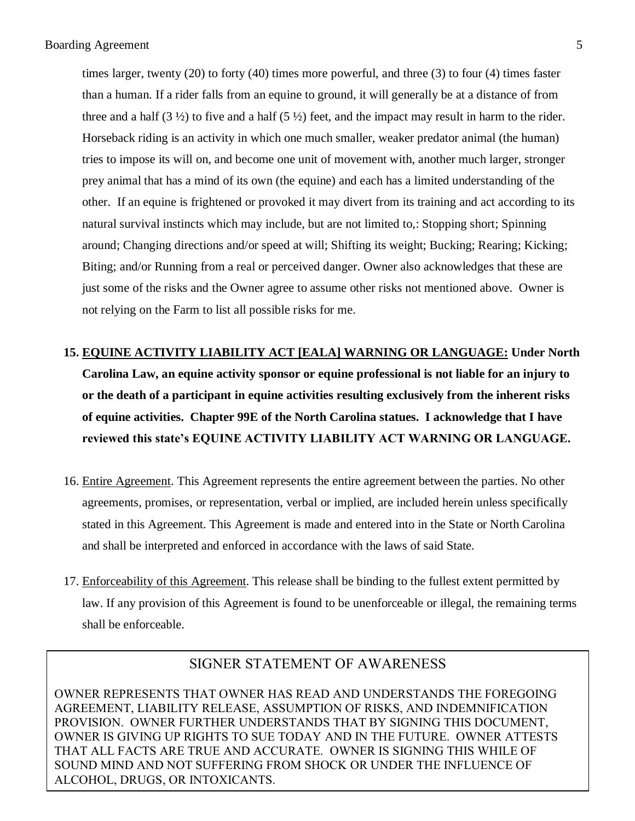times larger, twenty (20) to forty (40) times more powerful, and three (3) to four (4) times faster than a human. If a rider falls from an equine to ground, it will generally be at a distance of from three and a half  $(3 \frac{1}{2})$  to five and a half  $(5 \frac{1}{2})$  feet, and the impact may result in harm to the rider. Horseback riding is an activity in which one much smaller, weaker predator animal (the human) tries to impose its will on, and become one unit of movement with, another much larger, stronger prey animal that has a mind of its own (the equine) and each has a limited understanding of the other. If an equine is frightened or provoked it may divert from its training and act according to its natural survival instincts which may include, but are not limited to,: Stopping short; Spinning around; Changing directions and/or speed at will; Shifting its weight; Bucking; Rearing; Kicking; Biting; and/or Running from a real or perceived danger. Owner also acknowledges that these are just some of the risks and the Owner agree to assume other risks not mentioned above. Owner is not relying on the Farm to list all possible risks for me.

- **15. EQUINE ACTIVITY LIABILITY ACT [EALA] WARNING OR LANGUAGE: Under North Carolina Law, an equine activity sponsor or equine professional is not liable for an injury to or the death of a participant in equine activities resulting exclusively from the inherent risks of equine activities. Chapter 99E of the North Carolina statues. I acknowledge that I have reviewed this state's EQUINE ACTIVITY LIABILITY ACT WARNING OR LANGUAGE.**
- 16. Entire Agreement. This Agreement represents the entire agreement between the parties. No other agreements, promises, or representation, verbal or implied, are included herein unless specifically stated in this Agreement. This Agreement is made and entered into in the State or North Carolina and shall be interpreted and enforced in accordance with the laws of said State.
- 17. Enforceability of this Agreement. This release shall be binding to the fullest extent permitted by law. If any provision of this Agreement is found to be unenforceable or illegal, the remaining terms shall be enforceable.

## SIGNER STATEMENT OF AWARENESS

OWNER REPRESENTS THAT OWNER HAS READ AND UNDERSTANDS THE FOREGOING AGREEMENT, LIABILITY RELEASE, ASSUMPTION OF RISKS, AND INDEMNIFICATION PROVISION. OWNER FURTHER UNDERSTANDS THAT BY SIGNING THIS DOCUMENT, OWNER IS GIVING UP RIGHTS TO SUE TODAY AND IN THE FUTURE. OWNER ATTESTS THAT ALL FACTS ARE TRUE AND ACCURATE. OWNER IS SIGNING THIS WHILE OF SOUND MIND AND NOT SUFFERING FROM SHOCK OR UNDER THE INFLUENCE OF ALCOHOL, DRUGS, OR INTOXICANTS.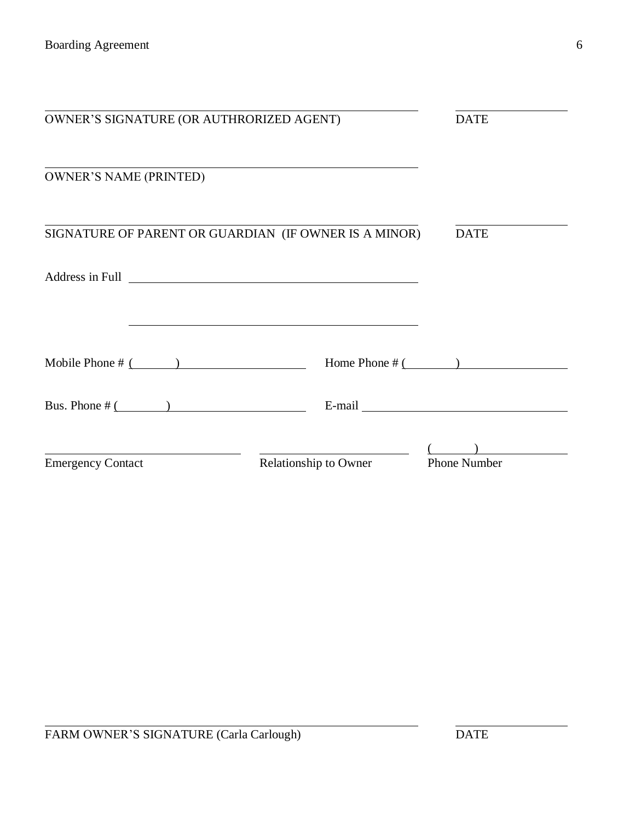| OWNER'S SIGNATURE (OR AUTHRORIZED AGENT)                                                                                                                                                                                       |                                                                                                                                                                                                                               | <b>DATE</b>                                                                                                                                                                                                                   |
|--------------------------------------------------------------------------------------------------------------------------------------------------------------------------------------------------------------------------------|-------------------------------------------------------------------------------------------------------------------------------------------------------------------------------------------------------------------------------|-------------------------------------------------------------------------------------------------------------------------------------------------------------------------------------------------------------------------------|
|                                                                                                                                                                                                                                |                                                                                                                                                                                                                               |                                                                                                                                                                                                                               |
| <b>OWNER'S NAME (PRINTED)</b>                                                                                                                                                                                                  |                                                                                                                                                                                                                               |                                                                                                                                                                                                                               |
| SIGNATURE OF PARENT OR GUARDIAN (IF OWNER IS A MINOR)                                                                                                                                                                          |                                                                                                                                                                                                                               | <b>DATE</b>                                                                                                                                                                                                                   |
| Address in Full 2008 and 2008 and 2008 and 2008 and 2008 and 2008 and 2008 and 2008 and 2008 and 2008 and 2008 and 2008 and 2008 and 2008 and 2008 and 2008 and 2008 and 2008 and 2008 and 2008 and 2008 and 2008 and 2008 and |                                                                                                                                                                                                                               |                                                                                                                                                                                                                               |
|                                                                                                                                                                                                                                | the control of the control of the control of the control of the control of the control of the control of the control of the control of the control of the control of the control of the control of the control of the control |                                                                                                                                                                                                                               |
| Mobile Phone $\#$ ( )                                                                                                                                                                                                          | Home Phone $\#$ ( )                                                                                                                                                                                                           |                                                                                                                                                                                                                               |
| Bus. Phone $\#$ ( )                                                                                                                                                                                                            |                                                                                                                                                                                                                               | E-mail explorer and the set of the set of the set of the set of the set of the set of the set of the set of the set of the set of the set of the set of the set of the set of the set of the set of the set of the set of the |
|                                                                                                                                                                                                                                |                                                                                                                                                                                                                               |                                                                                                                                                                                                                               |
| <b>Emergency Contact</b>                                                                                                                                                                                                       | <b>Relationship to Owner</b>                                                                                                                                                                                                  | <b>Phone Number</b>                                                                                                                                                                                                           |